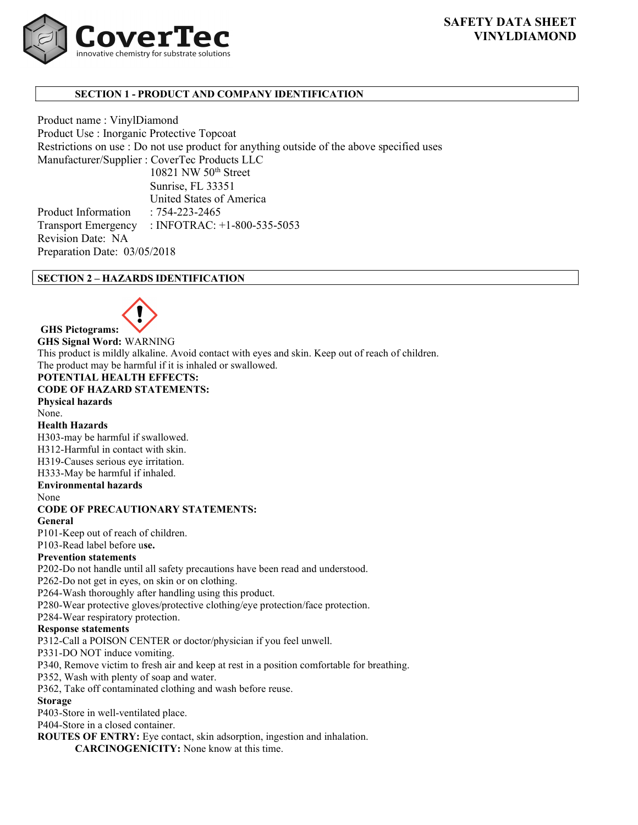# SAFETY DATA SHEET VINYLDIAMOND



# SECTION 1 - PRODUCT AND COMPANY IDENTIFICATION

Product name : VinylDiamond Product Use : Inorganic Protective Topcoat Restrictions on use : Do not use product for anything outside of the above specified uses Manufacturer/Supplier : CoverTec Products LLC 10821 NW 50<sup>th</sup> Street Sunrise, FL 33351 United States of America Product Information : 754-223-2465

Transport Emergency : INFOTRAC: +1-800-535-5053 Revision Date: NA Preparation Date: 03/05/2018

# SECTION 2 – HAZARDS IDENTIFICATION



GHS Pictograms:

GHS Signal Word: WARNING This product is mildly alkaline. Avoid contact with eyes and skin. Keep out of reach of children. The product may be harmful if it is inhaled or swallowed.

## POTENTIAL HEALTH EFFECTS: CODE OF HAZARD STATEMENTS:

Physical hazards

None. Health Hazards

H303-may be harmful if swallowed.

H312-Harmful in contact with skin.

H319-Causes serious eye irritation.

H333-May be harmful if inhaled.

Environmental hazards

None

# CODE OF PRECAUTIONARY STATEMENTS:

General

P101-Keep out of reach of children.

P103-Read label before use.

# Prevention statements

P202-Do not handle until all safety precautions have been read and understood.

P262-Do not get in eyes, on skin or on clothing.

P264-Wash thoroughly after handling using this product.

P280-Wear protective gloves/protective clothing/eye protection/face protection.

P284-Wear respiratory protection.

# Response statements

P312-Call a POISON CENTER or doctor/physician if you feel unwell.

P331-DO NOT induce vomiting.

P340, Remove victim to fresh air and keep at rest in a position comfortable for breathing.

P352, Wash with plenty of soap and water.

P362, Take off contaminated clothing and wash before reuse.

# Storage

P403-Store in well-ventilated place.

P404-Store in a closed container.

ROUTES OF ENTRY: Eye contact, skin adsorption, ingestion and inhalation. CARCINOGENICITY: None know at this time.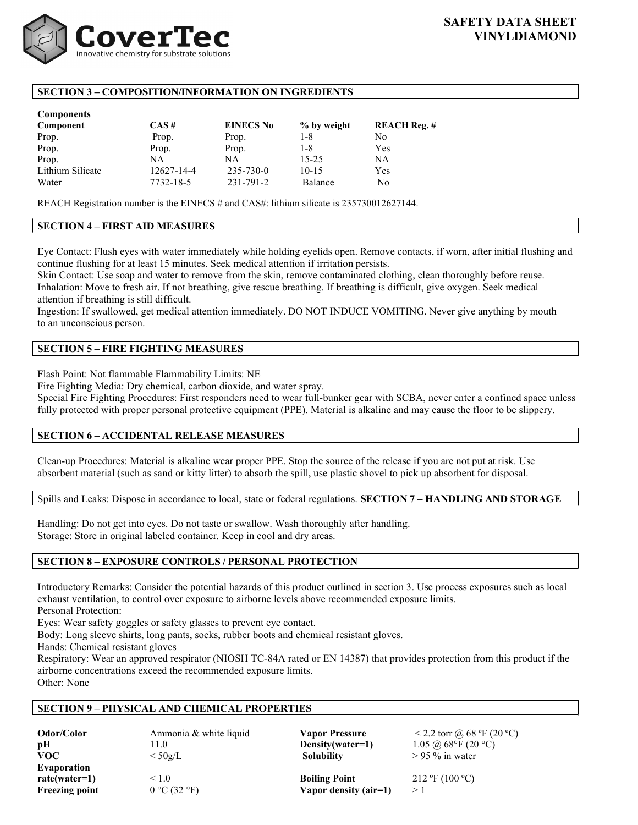

# SECTION 3 – COMPOSITION/INFORMATION ON INGREDIENTS

| <b>Components</b> |            |                  |             |                     |
|-------------------|------------|------------------|-------------|---------------------|
| Component         | $CAS \#$   | <b>EINECS No</b> | % by weight | <b>REACH Reg. #</b> |
| Prop.             | Prop.      | Prop.            | $1 - 8$     | No                  |
| Prop.             | Prop.      | Prop.            | $1 - 8$     | Yes                 |
| Prop.             | NA         | NA               | $15 - 25$   | NΑ                  |
| Lithium Silicate  | 12627-14-4 | $235 - 730 - 0$  | $10-15$     | Yes                 |
| Water             | 7732-18-5  | 231-791-2        | Balance     | N <sub>0</sub>      |

REACH Registration number is the EINECS # and CAS#: lithium silicate is 235730012627144.

# SECTION 4 – FIRST AID MEASURES

Eye Contact: Flush eyes with water immediately while holding eyelids open. Remove contacts, if worn, after initial flushing and continue flushing for at least 15 minutes. Seek medical attention if irritation persists.

Skin Contact: Use soap and water to remove from the skin, remove contaminated clothing, clean thoroughly before reuse. Inhalation: Move to fresh air. If not breathing, give rescue breathing. If breathing is difficult, give oxygen. Seek medical attention if breathing is still difficult.

Ingestion: If swallowed, get medical attention immediately. DO NOT INDUCE VOMITING. Never give anything by mouth to an unconscious person.

# SECTION 5 – FIRE FIGHTING MEASURES

Flash Point: Not flammable Flammability Limits: NE

Fire Fighting Media: Dry chemical, carbon dioxide, and water spray.

Special Fire Fighting Procedures: First responders need to wear full-bunker gear with SCBA, never enter a confined space unless fully protected with proper personal protective equipment (PPE). Material is alkaline and may cause the floor to be slippery.

# SECTION 6 – ACCIDENTAL RELEASE MEASURES

Clean-up Procedures: Material is alkaline wear proper PPE. Stop the source of the release if you are not put at risk. Use absorbent material (such as sand or kitty litter) to absorb the spill, use plastic shovel to pick up absorbent for disposal.

Spills and Leaks: Dispose in accordance to local, state or federal regulations. SECTION 7 - HANDLING AND STORAGE

Handling: Do not get into eyes. Do not taste or swallow. Wash thoroughly after handling. Storage: Store in original labeled container. Keep in cool and dry areas.

# SECTION 8 – EXPOSURE CONTROLS / PERSONAL PROTECTION

Introductory Remarks: Consider the potential hazards of this product outlined in section 3. Use process exposures such as local exhaust ventilation, to control over exposure to airborne levels above recommended exposure limits. Personal Protection:

Eyes: Wear safety goggles or safety glasses to prevent eye contact.

Body: Long sleeve shirts, long pants, socks, rubber boots and chemical resistant gloves.

Hands: Chemical resistant gloves

Respiratory: Wear an approved respirator (NIOSH TC-84A rated or EN 14387) that provides protection from this product if the airborne concentrations exceed the recommended exposure limits. Other: None

# SECTION 9 – PHYSICAL AND CHEMICAL PROPERTIES

| Odor/Color<br>pH      | Ammonia & white liquid<br>11.0 | <b>Vapor Pressure</b><br>Density(water=1) | $<$ 2.2 torr @ 68 °F (20 °C)<br>1.05 @ 68°F (20 °C) |
|-----------------------|--------------------------------|-------------------------------------------|-----------------------------------------------------|
| VOC.                  | $<$ 50g/L                      | <b>Solubility</b>                         | $> 95 \%$ in water                                  |
| Evaporation           |                                |                                           |                                                     |
| $rate(water=1)$       | $\leq 1.0$                     | <b>Boiling Point</b>                      | $212 \text{ }^{\circ}F(100 \text{ }^{\circ}C)$      |
| <b>Freezing point</b> | 0 °C (32 °F)                   | Vapor density (air=1)                     | >1                                                  |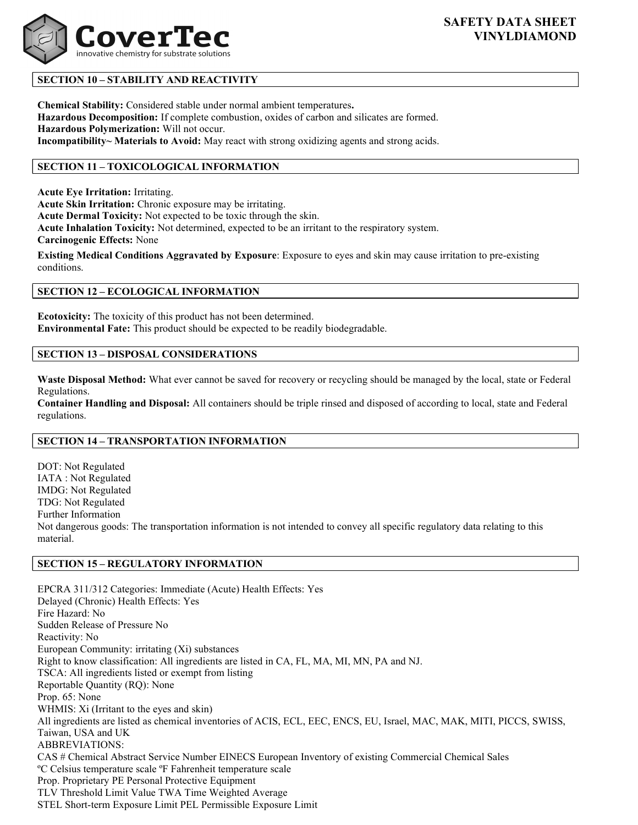

# SECTION 10 – STABILITY AND REACTIVITY

Chemical Stability: Considered stable under normal ambient temperatures. Hazardous Decomposition: If complete combustion, oxides of carbon and silicates are formed. Hazardous Polymerization: Will not occur. Incompatibility~ Materials to Avoid: May react with strong oxidizing agents and strong acids.

# SECTION 11 – TOXICOLOGICAL INFORMATION

Acute Eye Irritation: Irritating.

Acute Skin Irritation: Chronic exposure may be irritating.

Acute Dermal Toxicity: Not expected to be toxic through the skin.

Acute Inhalation Toxicity: Not determined, expected to be an irritant to the respiratory system.

Carcinogenic Effects: None

Existing Medical Conditions Aggravated by Exposure: Exposure to eyes and skin may cause irritation to pre-existing conditions.

## SECTION 12 – ECOLOGICAL INFORMATION

Ecotoxicity: The toxicity of this product has not been determined. Environmental Fate: This product should be expected to be readily biodegradable.

## SECTION 13 – DISPOSAL CONSIDERATIONS

Waste Disposal Method: What ever cannot be saved for recovery or recycling should be managed by the local, state or Federal Regulations.

Container Handling and Disposal: All containers should be triple rinsed and disposed of according to local, state and Federal regulations.

### SECTION 14 – TRANSPORTATION INFORMATION

DOT: Not Regulated IATA : Not Regulated IMDG: Not Regulated TDG: Not Regulated Further Information Not dangerous goods: The transportation information is not intended to convey all specific regulatory data relating to this material.

#### SECTION 15 – REGULATORY INFORMATION

EPCRA 311/312 Categories: Immediate (Acute) Health Effects: Yes Delayed (Chronic) Health Effects: Yes Fire Hazard: No Sudden Release of Pressure No Reactivity: No European Community: irritating (Xi) substances Right to know classification: All ingredients are listed in CA, FL, MA, MI, MN, PA and NJ. TSCA: All ingredients listed or exempt from listing Reportable Quantity (RQ): None Prop. 65: None WHMIS: Xi (Irritant to the eyes and skin) All ingredients are listed as chemical inventories of ACIS, ECL, EEC, ENCS, EU, Israel, MAC, MAK, MITI, PICCS, SWISS, Taiwan, USA and UK ABBREVIATIONS: CAS # Chemical Abstract Service Number EINECS European Inventory of existing Commercial Chemical Sales ºC Celsius temperature scale ºF Fahrenheit temperature scale Prop. Proprietary PE Personal Protective Equipment TLV Threshold Limit Value TWA Time Weighted Average STEL Short-term Exposure Limit PEL Permissible Exposure Limit